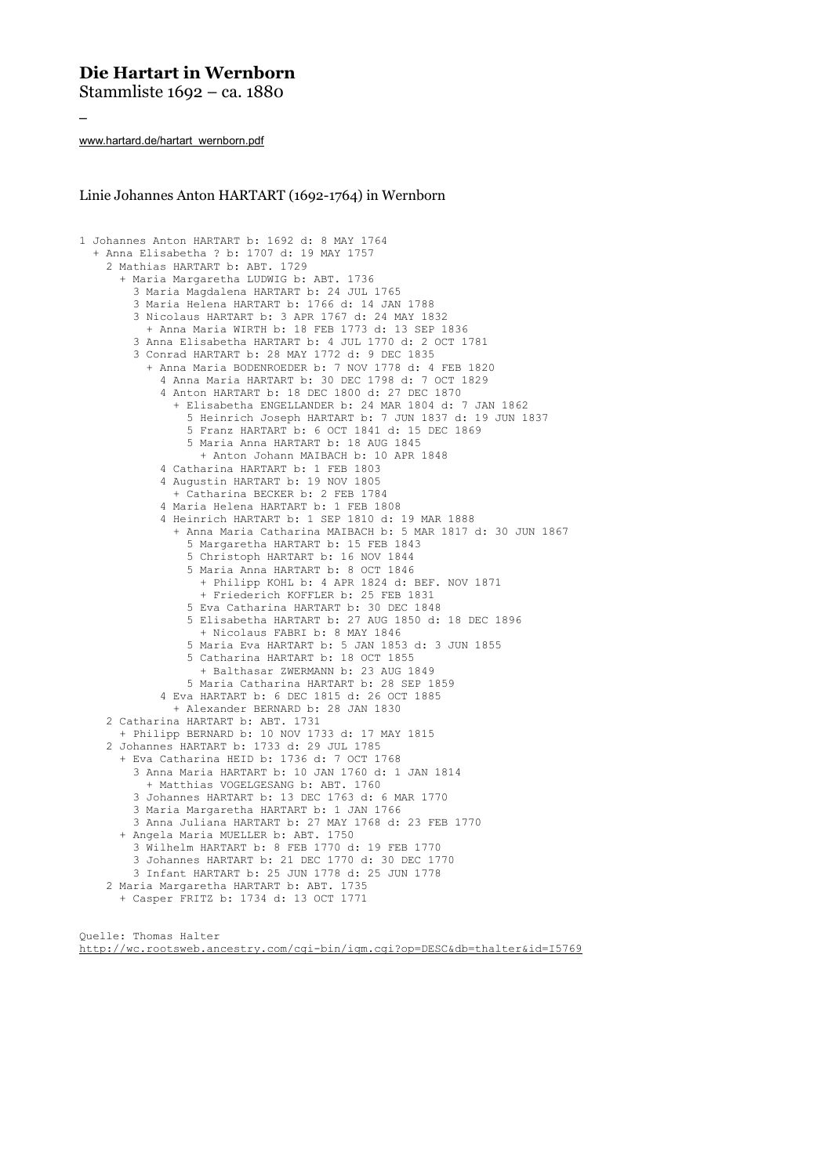## **Die Hartart in Wernborn**

Stammliste 1692 – ca. 1880

www.hartard.de/hartart\_wernborn.pdf

–

Linie Johannes Anton HARTART (1692-1764) in Wernborn

```
1 Johannes Anton HARTART b: 1692 d: 8 MAY 1764
  + Anna Elisabetha ? b: 1707 d: 19 MAY 1757
    2 Mathias HARTART b: ABT. 1729
      + Maria Margaretha LUDWIG b: ABT. 1736
        3 Maria Magdalena HARTART b: 24 JUL 1765
        3 Maria Helena HARTART b: 1766 d: 14 JAN 1788
        3 Nicolaus HARTART b: 3 APR 1767 d: 24 MAY 1832
          + Anna Maria WIRTH b: 18 FEB 1773 d: 13 SEP 1836
        3 Anna Elisabetha HARTART b: 4 JUL 1770 d: 2 OCT 1781
        3 Conrad HARTART b: 28 MAY 1772 d: 9 DEC 1835
          + Anna Maria BODENROEDER b: 7 NOV 1778 d: 4 FEB 1820
            4 Anna Maria HARTART b: 30 DEC 1798 d: 7 OCT 1829
            4 Anton HARTART b: 18 DEC 1800 d: 27 DEC 1870
              + Elisabetha ENGELLANDER b: 24 MAR 1804 d: 7 JAN 1862
                5 Heinrich Joseph HARTART b: 7 JUN 1837 d: 19 JUN 1837
                5 Franz HARTART b: 6 OCT 1841 d: 15 DEC 1869
                5 Maria Anna HARTART b: 18 AUG 1845
                  + Anton Johann MAIBACH b: 10 APR 1848
            4 Catharina HARTART b: 1 FEB 1803
            4 Augustin HARTART b: 19 NOV 1805
              + Catharina BECKER b: 2 FEB 1784
            4 Maria Helena HARTART b: 1 FEB 1808
            4 Heinrich HARTART b: 1 SEP 1810 d: 19 MAR 1888
              + Anna Maria Catharina MAIBACH b: 5 MAR 1817 d: 30 JUN 1867
                5 Margaretha HARTART b: 15 FEB 1843
                5 Christoph HARTART b: 16 NOV 1844
                5 Maria Anna HARTART b: 8 OCT 1846
                  + Philipp KOHL b: 4 APR 1824 d: BEF. NOV 1871
                  + Friederich KOFFLER b: 25 FEB 1831
                5 Eva Catharina HARTART b: 30 DEC 1848
                5 Elisabetha HARTART b: 27 AUG 1850 d: 18 DEC 1896
                  + Nicolaus FABRI b: 8 MAY 1846
                5 Maria Eva HARTART b: 5 JAN 1853 d: 3 JUN 1855
                5 Catharina HARTART b: 18 OCT 1855
                   + Balthasar ZWERMANN b: 23 AUG 1849
                5 Maria Catharina HARTART b: 28 SEP 1859
            4 Eva HARTART b: 6 DEC 1815 d: 26 OCT 1885
              + Alexander BERNARD b: 28 JAN 1830
    2 Catharina HARTART b: ABT. 1731
      + Philipp BERNARD b: 10 NOV 1733 d: 17 MAY 1815 
    2 Johannes HARTART b: 1733 d: 29 JUL 1785
      + Eva Catharina HEID b: 1736 d: 7 OCT 1768
        3 Anna Maria HARTART b: 10 JAN 1760 d: 1 JAN 1814
          + Matthias VOGELGESANG b: ABT. 1760
        3 Johannes HARTART b: 13 DEC 1763 d: 6 MAR 1770
        3 Maria Margaretha HARTART b: 1 JAN 1766
        3 Anna Juliana HARTART b: 27 MAY 1768 d: 23 FEB 1770
      + Angela Maria MUELLER b: ABT. 1750
        3 Wilhelm HARTART b: 8 FEB 1770 d: 19 FEB 1770
        3 Johannes HARTART b: 21 DEC 1770 d: 30 DEC 1770
        3 Infant HARTART b: 25 JUN 1778 d: 25 JUN 1778
    2 Maria Margaretha HARTART b: ABT. 1735
      + Casper FRITZ b: 1734 d: 13 OCT 1771
```
Quelle: Thomas Halter http://wc.rootsweb.ancestry.com/cgi-bin/igm.cgi?op=DESC&db=thalter&id=I5769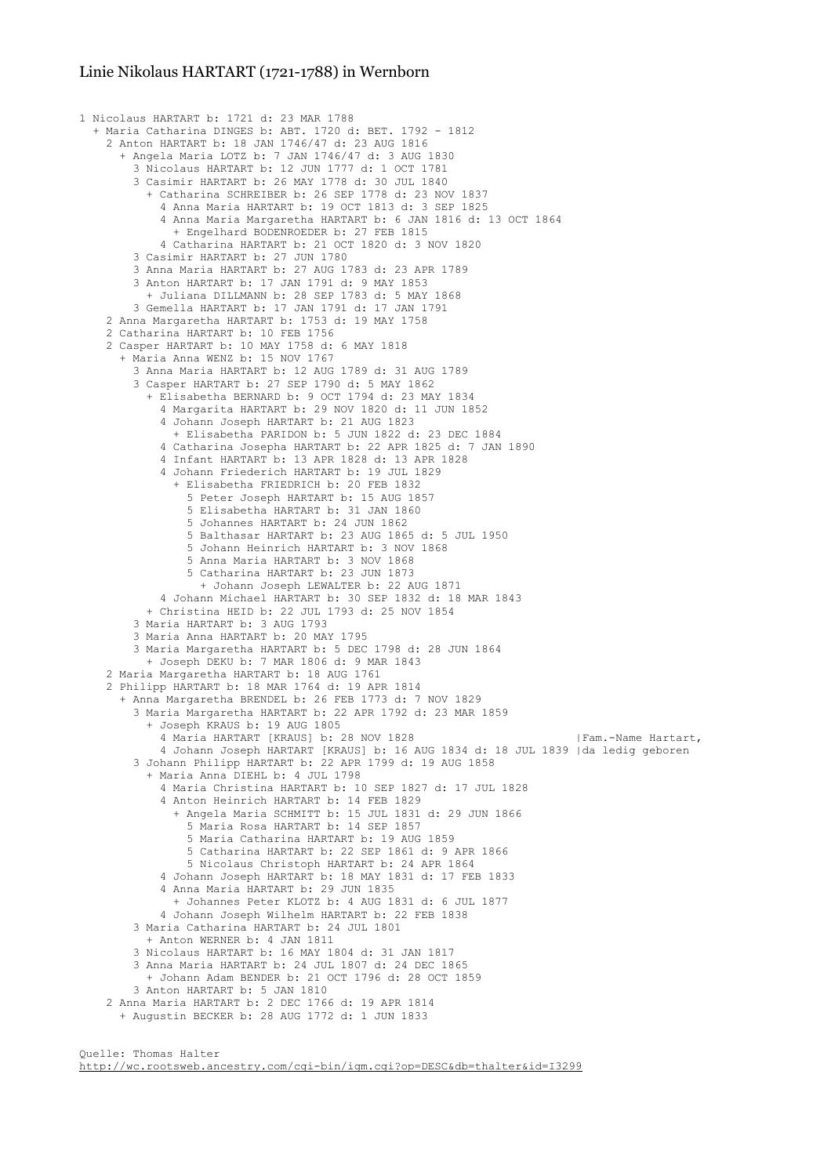## Linie Nikolaus HARTART (1721-1788) in Wernborn

```
1 Nicolaus HARTART b: 1721 d: 23 MAR 1788
 + Maria Catharina DINGES b: ABT. 1720 d: BET. 1792 - 1812
   2 Anton HARTART b: 18 JAN 1746/47 d: 23 AUG 1816
      + Angela Maria LOTZ b: 7 JAN 1746/47 d: 3 AUG 1830
        3 Nicolaus HARTART b: 12 JUN 1777 d: 1 OCT 1781
        3 Casimir HARTART b: 26 MAY 1778 d: 30 JUL 1840
          + Catharina SCHREIBER b: 26 SEP 1778 d: 23 NOV 1837
            4 Anna Maria HARTART b: 19 OCT 1813 d: 3 SEP 1825
            4 Anna Maria Margaretha HARTART b: 6 JAN 1816 d: 13 OCT 1864
              + Engelhard BODENROEDER b: 27 FEB 1815
            4 Catharina HARTART b: 21 OCT 1820 d: 3 NOV 1820
        3 Casimir HARTART b: 27 JUN 1780
        3 Anna Maria HARTART b: 27 AUG 1783 d: 23 APR 1789
        3 Anton HARTART b: 17 JAN 1791 d: 9 MAY 1853
          + Juliana DILLMANN b: 28 SEP 1783 d: 5 MAY 1868
        3 Gemella HARTART b: 17 JAN 1791 d: 17 JAN 1791
   2 Anna Margaretha HARTART b: 1753 d: 19 MAY 1758
    2 Catharina HARTART b: 10 FEB 1756
    2 Casper HARTART b: 10 MAY 1758 d: 6 MAY 1818
      + Maria Anna WENZ b: 15 NOV 1767
        3 Anna Maria HARTART b: 12 AUG 1789 d: 31 AUG 1789
        3 Casper HARTART b: 27 SEP 1790 d: 5 MAY 1862
          + Elisabetha BERNARD b: 9 OCT 1794 d: 23 MAY 1834
            4 Margarita HARTART b: 29 NOV 1820 d: 11 JUN 1852
            4 Johann Joseph HARTART b: 21 AUG 1823
              + Elisabetha PARIDON b: 5 JUN 1822 d: 23 DEC 1884
            4 Catharina Josepha HARTART b: 22 APR 1825 d: 7 JAN 1890
            4 Infant HARTART b: 13 APR 1828 d: 13 APR 1828
           4 Johann Friederich HARTART b: 19 JUL 1829
              + Elisabetha FRIEDRICH b: 20 FEB 1832
                5 Peter Joseph HARTART b: 15 AUG 1857
                5 Elisabetha HARTART b: 31 JAN 1860
                5 Johannes HARTART b: 24 JUN 1862
                5 Balthasar HARTART b: 23 AUG 1865 d: 5 JUL 1950
                5 Johann Heinrich HARTART b: 3 NOV 1868
                5 Anna Maria HARTART b: 3 NOV 1868
                5 Catharina HARTART b: 23 JUN 1873
                  + Johann Joseph LEWALTER b: 22 AUG 1871
            4 Johann Michael HARTART b: 30 SEP 1832 d: 18 MAR 1843
          + Christina HEID b: 22 JUL 1793 d: 25 NOV 1854
        3 Maria HARTART b: 3 AUG 1793
        3 Maria Anna HARTART b: 20 MAY 1795
        3 Maria Margaretha HARTART b: 5 DEC 1798 d: 28 JUN 1864
          + Joseph DEKU b: 7 MAR 1806 d: 9 MAR 1843
    2 Maria Margaretha HARTART b: 18 AUG 1761
    2 Philipp HARTART b: 18 MAR 1764 d: 19 APR 1814
      + Anna Margaretha BRENDEL b: 26 FEB 1773 d: 7 NOV 1829
        3 Maria Margaretha HARTART b: 22 APR 1792 d: 23 MAR 1859
          + Joseph KRAUS b: 19 AUG 1805
           4 Maria HARTART [KRAUS] b: 28 NOV 1828 | Fam.-Name Hartart,
            4 Johann Joseph HARTART [KRAUS] b: 16 AUG 1834 d: 18 JUL 1839 |da ledig geboren
        3 Johann Philipp HARTART b: 22 APR 1799 d: 19 AUG 1858
          + Maria Anna DIEHL b: 4 JUL 1798
            4 Maria Christina HARTART b: 10 SEP 1827 d: 17 JUL 1828
            4 Anton Heinrich HARTART b: 14 FEB 1829
              + Angela Maria SCHMITT b: 15 JUL 1831 d: 29 JUN 1866
                5 Maria Rosa HARTART b: 14 SEP 1857
                5 Maria Catharina HARTART b: 19 AUG 1859
                5 Catharina HARTART b: 22 SEP 1861 d: 9 APR 1866
                5 Nicolaus Christoph HARTART b: 24 APR 1864
            4 Johann Joseph HARTART b: 18 MAY 1831 d: 17 FEB 1833
            4 Anna Maria HARTART b: 29 JUN 1835
              + Johannes Peter KLOTZ b: 4 AUG 1831 d: 6 JUL 1877
            4 Johann Joseph Wilhelm HARTART b: 22 FEB 1838
        3 Maria Catharina HARTART b: 24 JUL 1801
          + Anton WERNER b: 4 JAN 1811
        3 Nicolaus HARTART b: 16 MAY 1804 d: 31 JAN 1817
        3 Anna Maria HARTART b: 24 JUL 1807 d: 24 DEC 1865
          + Johann Adam BENDER b: 21 OCT 1796 d: 28 OCT 1859
        3 Anton HARTART b: 5 JAN 1810
   2 Anna Maria HARTART b: 2 DEC 1766 d: 19 APR 1814
      + Augustin BECKER b: 28 AUG 1772 d: 1 JUN 1833
```
http://wc.rootsweb.ancestry.com/cgi-bin/igm.cgi?op=DESC&db=thalter&id=I3299

Quelle: Thomas Halter